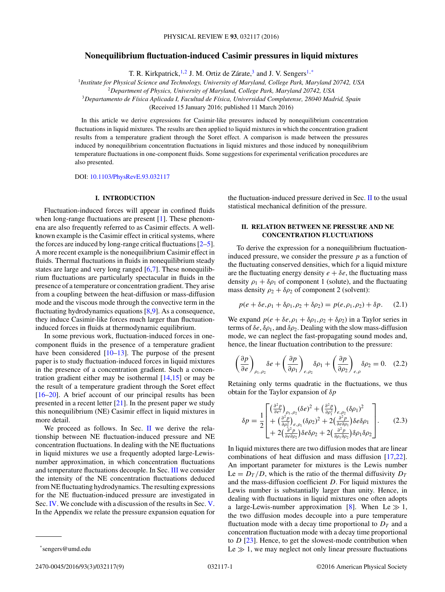# <span id="page-0-0"></span>**Nonequilibrium fluctuation-induced Casimir pressures in liquid mixtures**

T. R. Kirkpatrick,<sup>1,2</sup> J. M. Ortiz de Zárate,<sup>3</sup> and J. V. Sengers<sup>1,\*</sup>

<sup>1</sup>*Institute for Physical Science and Technology, University of Maryland, College Park, Maryland 20742, USA*

<sup>2</sup>*Department of Physics, University of Maryland, College Park, Maryland 20742, USA*

<sup>3</sup>*Departamento de F´ısica Aplicada I, Facultad de F´ısica, Universidad Complutense, 28040 Madrid, Spain*

(Received 15 January 2016; published 11 March 2016)

In this article we derive expressions for Casimir-like pressures induced by nonequilibrium concentration fluctuations in liquid mixtures. The results are then applied to liquid mixtures in which the concentration gradient results from a temperature gradient through the Soret effect. A comparison is made between the pressures induced by nonequilibrium concentration fluctuations in liquid mixtures and those induced by nonequilibrium temperature fluctuations in one-component fluids. Some suggestions for experimental verification procedures are also presented.

DOI: [10.1103/PhysRevE.93.032117](http://dx.doi.org/10.1103/PhysRevE.93.032117)

## **I. INTRODUCTION**

Fluctuation-induced forces will appear in confined fluids when long-range fluctuations are present [\[1\]](#page-7-0). These phenomena are also frequently referred to as Casimir effects. A wellknown example is the Casimir effect in critical systems, where the forces are induced by long-range critical fluctuations  $[2-5]$ . A more recent example is the nonequilibrium Casimir effect in fluids. Thermal fluctuations in fluids in nonequilibrium steady states are large and very long ranged  $[6,7]$ . These nonequilibrium fluctuations are particularly spectacular in fluids in the presence of a temperature or concentration gradient. They arise from a coupling between the heat-diffusion or mass-diffusion mode and the viscous mode through the convective term in the fluctuating hydrodynamics equations  $[8,9]$ . As a consequence, they induce Casimir-like forces much larger than fluctuationinduced forces in fluids at thermodynamic equilibrium.

In some previous work, fluctuation-induced forces in onecomponent fluids in the presence of a temperature gradient have been considered [\[10–13\]](#page-7-0). The purpose of the present paper is to study fluctuation-induced forces in liquid mixtures in the presence of a concentration gradient. Such a concentration gradient either may be isothermal [\[14,15\]](#page-7-0) or may be the result of a temperature gradient through the Soret effect [\[16–20\]](#page-7-0). A brief account of our principal results has been presented in a recent letter [\[21\]](#page-7-0). In the present paper we study this nonequilibrium (NE) Casimir effect in liquid mixtures in more detail.

We proceed as follows. In Sec. II we derive the relationship between NE fluctuation-induced pressure and NE concentration fluctuations. In dealing with the NE fluctuations in liquid mixtures we use a frequently adopted large-Lewisnumber approximation, in which concentration fluctuations and temperature fluctuations decouple. In Sec. [III](#page-1-0) we consider the intensity of the NE concentration fluctuations deduced from NE fluctuating hydrodynamics. The resulting expressions for the NE fluctuation-induced pressure are investigated in Sec. [IV.](#page-3-0) We conclude with a discussion of the results in Sec. [V.](#page-5-0) In the Appendix we relate the pressure expansion equation for the fluctuation-induced pressure derived in Sec. II to the usual statistical mechanical definition of the pressure.

### **II. RELATION BETWEEN NE PRESSURE AND NE CONCENTRATION FLUCTUATIONS**

To derive the expression for a nonequilibrium fluctuationinduced pressure, we consider the pressure *p* as a function of the fluctuating conserved densities, which for a liquid mixture are the fluctuating energy density  $e + \delta e$ , the fluctuating mass density  $\rho_1 + \delta \rho_1$  of component 1 (solute), and the fluctuating mass density  $\rho_2 + \delta \rho_2$  of component 2 (solvent):

$$
p(e + \delta e, \rho_1 + \delta \rho_1, \rho_2 + \delta \rho_2) = p(e, \rho_1, \rho_2) + \delta p. \quad (2.1)
$$

We expand  $p(e + \delta e, \rho_1 + \delta \rho_1, \rho_2 + \delta \rho_2)$  in a Taylor series in terms of  $\delta e$ ,  $\delta \rho_1$ , and  $\delta \rho_2$ . Dealing with the slow mass-diffusion mode, we can neglect the fast-propagating sound modes and, hence, the linear fluctuation contribution to the pressure:

$$
\left(\frac{\partial p}{\partial e}\right)_{\rho_1, \rho_2} \delta e + \left(\frac{\partial p}{\partial \rho_1}\right)_{e, \rho_2} \delta \rho_1 + \left(\frac{\partial p}{\partial \rho_2}\right)_{e, \rho} \delta \rho_2 = 0. \quad (2.2)
$$

Retaining only terms quadratic in the fluctuations, we thus obtain for the Taylor expansion of *δp*

$$
\delta p = \frac{1}{2} \begin{bmatrix} \left(\frac{\partial^2 p}{\partial e^2}\right)_{\rho_1, \rho_2} (\delta e)^2 + \left(\frac{\partial^2 p}{\partial \rho_1^2}\right)_{e, \rho_2} (\delta \rho_1)^2\\ + \left(\frac{\partial^2 p}{\partial \rho_2^2}\right)_{e, \rho_1} (\delta \rho_2)^2 + 2\left(\frac{\partial^2 p}{\partial e \partial \rho_1}\right) \delta e \delta \rho_1\\ + 2\left(\frac{\partial^2 p}{\partial e \partial \rho_2}\right) \delta e \delta \rho_2 + 2\left(\frac{\partial^2 p}{\partial \rho_1 \partial \rho_2}\right) \delta \rho_1 \delta \rho_2 \end{bmatrix} . \tag{2.3}
$$

In liquid mixtures there are two diffusion modes that are linear combinations of heat diffusion and mass diffusion [\[17,22\]](#page-7-0). An important parameter for mixtures is the Lewis number  $Le = D_T/D$ , which is the ratio of the thermal diffusivity  $D_T$ and the mass-diffusion coefficient *D*. For liquid mixtures the Lewis number is substantially larger than unity. Hence, in dealing with fluctuations in liquid mixtures one often adopts a large-Lewis-number approximation [\[8\]](#page-7-0). When Le  $\gg 1$ , the two diffusion modes decouple into a pure temperature fluctuation mode with a decay time proportional to  $D<sub>T</sub>$  and a concentration fluctuation mode with a decay time proportional to *D* [\[23\]](#page-7-0). Hence, to get the slowest-mode contribution when Le  $\gg$  1, we may neglect not only linear pressure fluctuations

<sup>\*</sup>sengers@umd.edu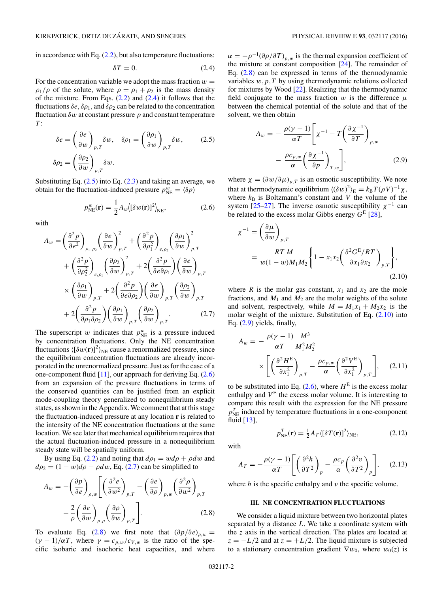<span id="page-1-0"></span>in accordance with Eq.  $(2.2)$ , but also temperature fluctuations:

$$
\delta T = 0. \tag{2.4}
$$

For the concentration variable we adopt the mass fraction  $w =$  $\rho_1/\rho$  of the solute, where  $\rho = \rho_1 + \rho_2$  is the mass density of the mixture. From Eqs.  $(2.2)$  and  $(2.4)$  it follows that the fluctuations  $\delta e$ ,  $\delta \rho_1$ , and  $\delta \rho_2$  can be related to the concentration fluctuation  $\delta w$  at constant pressure  $p$  and constant temperature *T* :

$$
\delta e = \left(\frac{\partial e}{\partial w}\right)_{p,T} \delta w, \quad \delta \rho_1 = \left(\frac{\partial \rho_1}{\partial w}\right)_{p,T} \delta w,
$$
\n
$$
\delta \rho_2 = \left(\frac{\partial \rho_2}{\partial w}\right)_{p,T} \delta w.
$$
\n(2.5)

Substituting Eq.  $(2.5)$  into Eq.  $(2.3)$  and taking an average, we obtain for the fluctuation-induced pressure  $p_{NE}^w = \langle \delta p \rangle$ 

$$
p_{\text{NE}}^w(\mathbf{r}) = \frac{1}{2} A_w \langle [\delta w(\mathbf{r})]^2 \rangle_{\text{NE}}, \tag{2.6}
$$

with

$$
A_w = \left(\frac{\partial^2 p}{\partial e^2}\right)_{\rho_1, \rho_2} \left(\frac{\partial e}{\partial w}\right)_{p,T}^2 + \left(\frac{\partial^2 p}{\partial \rho_1^2}\right)_{e,\rho_2} \left(\frac{\partial \rho_1}{\partial w}\right)_{p,T}^2
$$
  
+ 
$$
\left(\frac{\partial^2 p}{\partial \rho_2^2}\right)_{e,\rho_1} \left(\frac{\partial \rho_2}{\partial w}\right)_{p,T}^2 + 2\left(\frac{\partial^2 p}{\partial e \partial \rho_1}\right) \left(\frac{\partial e}{\partial w}\right)_{p,T}
$$
  
× 
$$
\left(\frac{\partial \rho_1}{\partial w}\right)_{p,T} + 2\left(\frac{\partial^2 p}{\partial e \partial \rho_2}\right) \left(\frac{\partial e}{\partial w}\right)_{p,T} \left(\frac{\partial \rho_2}{\partial w}\right)_{p,T}
$$
  
+ 
$$
2\left(\frac{\partial^2 p}{\partial \rho_1 \partial \rho_2}\right) \left(\frac{\partial \rho_1}{\partial w}\right)_{p,T} \left(\frac{\partial \rho_2}{\partial w}\right)_{p,T} .
$$
 (2.7)

The superscript *w* indicates that  $p_{NE}^w$  is a pressure induced by concentration fluctuations. Only the NE concentration fluctuations  $\langle [\delta w(\mathbf{r})]^2 \rangle_{\text{NE}}$  cause a renormalized pressure, since the equilibrium concentration fluctuations are already incorporated in the unrenormalized pressure. Just as for the case of a one-component fluid [\[11\]](#page-7-0), our approach for deriving Eq. (2.6) from an expansion of the pressure fluctuations in terms of the conserved quantities can be justified from an explicit mode-coupling theory generalized to nonequilibrium steady states, as shown in the Appendix. We comment that at this stage the fluctuation-induced pressure at any location **r** is related to the intensity of the NE concentration fluctuations at the same location. We see later that mechanical equilibrium requires that the actual fluctuation-induced pressure in a nonequilibrium steady state will be spatially uniform.

By using Eq. [\(2.2\)](#page-0-0) and noting that  $d\rho_1 = w d\rho + \rho dw$  and  $d\rho_2 = (1 - w)d\rho - \rho dw$ , Eq. (2.7) can be simplified to

$$
A_w = -\left(\frac{\partial p}{\partial e}\right)_{\rho,w} \left[ \left(\frac{\partial^2 e}{\partial w^2}\right)_{p,T} - \left(\frac{\partial e}{\partial \rho}\right)_{p,w} \left(\frac{\partial^2 \rho}{\partial w^2}\right)_{p,T} -\frac{2}{\rho} \left(\frac{\partial e}{\partial w}\right)_{p,\rho} \left(\frac{\partial \rho}{\partial w}\right)_{p,T} \right].
$$
 (2.8)

To evaluate Eq. (2.8) we first note that  $(\partial p/\partial e)_{\rho,w} =$  $(\gamma - 1)/\alpha T$ , where  $\gamma = c_{p,w}/c_{V,w}$  is the ratio of the specific isobaric and isochoric heat capacities, and where  $\alpha = -\rho^{-1}(\partial \rho/\partial T)_{p,w}$  is the thermal expansion coefficient of the mixture at constant composition [\[24\]](#page-7-0). The remainder of Eq.  $(2.8)$  can be expressed in terms of the thermodynamic variables *w,p,T* by using thermodynamic relations collected for mixtures by Wood [\[22\]](#page-7-0). Realizing that the thermodynamic field conjugate to the mass fraction  $w$  is the difference  $\mu$ between the chemical potential of the solute and that of the solvent, we then obtain

$$
A_w = -\frac{\rho(\gamma - 1)}{\alpha T} \left[ \chi^{-1} - T \left( \frac{\partial \chi^{-1}}{\partial T} \right)_{p,w} -\frac{\rho c_{p,w}}{\alpha} \left( \frac{\partial \chi^{-1}}{\partial p} \right)_{T,w} \right],
$$
 (2.9)

where  $\chi = (\partial w/\partial \mu)_{p,T}$  is an osmotic susceptibility. We note that at thermodynamic equilibrium  $\langle (\delta w)^2 \rangle_E = k_B T (\rho V)^{-1} \chi$ , where  $k_B$  is Boltzmann's constant and  $V$  the volume of the system [\[25–27\]](#page-7-0). The inverse osmotic susceptibility  $\chi^{-1}$  can be related to the excess molar Gibbs energy *G*<sup>E</sup> [\[28\]](#page-7-0),

$$
\chi^{-1} = \left(\frac{\partial \mu}{\partial w}\right)_{p,T}
$$
  
= 
$$
\frac{RT M}{w(1-w)M_1M_2} \left\{ 1 - x_1x_2 \left(\frac{\partial^2 G^E/RT}{\partial x_1 \partial x_2}\right)_{p,T} \right\},
$$
 (2.10)

where *R* is the molar gas constant,  $x_1$  and  $x_2$  are the mole fractions, and  $M_1$  and  $M_2$  are the molar weights of the solute and solvent, respectively, while  $M = M_1x_1 + M_2x_2$  is the molar weight of the mixture. Substitution of Eq.  $(2.10)$  into Eq. (2.9) yields, finally,

$$
A_w = -\frac{\rho(\gamma - 1)}{\alpha T} \frac{M^3}{M_1^2 M_2^2} \times \left[ \left( \frac{\partial^2 H^E}{\partial x_1^2} \right)_{p,T} - \frac{\rho c_{p,w}}{\alpha} \left( \frac{\partial^2 V^E}{\partial x_1^2} \right)_{p,T} \right], \quad (2.11)
$$

to be substituted into Eq.  $(2.6)$ , where  $H<sup>E</sup>$  is the excess molar enthalpy and  $V<sup>E</sup>$  the excess molar volume. It is interesting to compare this result with the expression for the NE pressure  $p_{NE}^T$  induced by temperature fluctuations in a one-component fluid [\[13\]](#page-7-0),

$$
p_{\text{NE}}^T(\mathbf{r}) = \frac{1}{2} A_T \langle [\delta T(\mathbf{r})]^2 \rangle_{\text{NE}}, \tag{2.12}
$$

with

$$
A_T = -\frac{\rho(\gamma - 1)}{\alpha T} \left[ \left( \frac{\partial^2 h}{\partial T^2} \right)_p - \frac{\rho c_p}{\alpha} \left( \frac{\partial^2 v}{\partial T^2} \right)_p \right], \quad (2.13)
$$

where  $h$  is the specific enthalpy and  $v$  the specific volume.

### **III. NE CONCENTRATION FLUCTUATIONS**

We consider a liquid mixture between two horizontal plates separated by a distance *L*. We take a coordinate system with the *z* axis in the vertical direction. The plates are located at  $z = -L/2$  and at  $z = +L/2$ . The liquid mixture is subjected to a stationary concentration gradient  $\nabla w_0$ , where  $w_0(z)$  is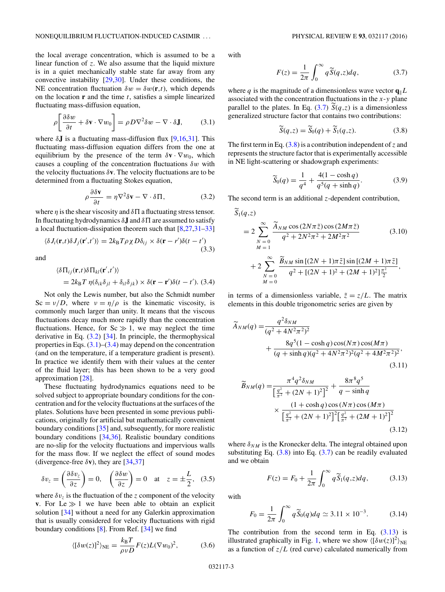<span id="page-2-0"></span>the local average concentration, which is assumed to be a linear function of *z*. We also assume that the liquid mixture is in a quiet mechanically stable state far away from any convective instability [\[29,30\]](#page-7-0). Under these conditions, the NE concentration fluctuation  $\delta w = \delta w(\mathbf{r},t)$ , which depends on the location **r** and the time *t*, satisfies a simple linearized fluctuating mass-diffusion equation,

$$
\rho \left[ \frac{\partial \delta w}{\partial t} + \delta \mathbf{v} \cdot \nabla w_0 \right] = \rho D \nabla^2 \delta w - \nabla \cdot \delta \mathbf{J}, \quad (3.1)
$$

where  $\delta$ **J** is a fluctuating mass-diffusion flux [\[9,16,31\]](#page-7-0). This fluctuating mass-diffusion equation differs from the one at equilibrium by the presence of the term  $\delta \mathbf{v} \cdot \nabla w_0$ , which causes a coupling of the concentration fluctuations *δw* with the velocity fluctuations  $\delta$ **v**. The velocity fluctuations are to be determined from a fluctuating Stokes equation,

$$
\rho \frac{\partial \delta \mathbf{v}}{\partial t} = \eta \nabla^2 \delta \mathbf{v} - \nabla \cdot \delta \Pi, \tag{3.2}
$$

where  $\eta$  is the shear viscosity and  $\delta \Pi$  a fluctuating stress tensor. In fluctuating hydrodynamics  $\delta$ **J** and  $\delta$  $\Pi$  are assumed to satisfy a local fluctuation-dissipation theorem such that [\[8,27,31–33\]](#page-7-0)

$$
\langle \delta J_i(\mathbf{r},t) \delta J_j(\mathbf{r}',t') \rangle = 2k_\text{B} T \rho \chi D \delta_{ij} \times \delta(\mathbf{r} - r') \delta(t - t')
$$
\n(3.3)

and

$$
\langle \delta \Pi_{ij}(\mathbf{r},t) \delta \Pi_{kl}(\mathbf{r}',t') \rangle
$$
  
=  $2k_B T \eta (\delta_{ik}\delta_{jl} + \delta_{il}\delta_{jk}) \times \delta(\mathbf{r} - \mathbf{r}') \delta(t - t').$  (3.4)

Not only the Lewis number, but also the Schmidt number  $Sc = v/D$ , where  $v = \eta/\rho$  is the kinematic viscosity, is commonly much larger than unity. It means that the viscous fluctuations decay much more rapidly than the concentration fluctuations. Hence, for  $Sc \gg 1$ , we may neglect the time derivative in Eq.  $(3.2)$  [\[34\]](#page-7-0). In principle, the thermophysical properties in Eqs.  $(3.1)$ – $(3.4)$  may depend on the concentration (and on the temperature, if a temperature gradient is present). In practice we identify them with their values at the center of the fluid layer; this has been shown to be a very good approximation [\[28\]](#page-7-0).

These fluctuating hydrodynamics equations need to be solved subject to appropriate boundary conditions for the concentration and for the velocity fluctuations at the surfaces of the plates. Solutions have been presented in some previous publications, originally for artificial but mathematically convenient boundary conditions [\[35\]](#page-7-0) and, subsequently, for more realistic boundary conditions [\[34,36\]](#page-7-0). Realistic boundary conditions are no-slip for the velocity fluctuations and impervious walls for the mass flow. If we neglect the effect of sound modes (divergence-free  $\delta$ **v**), they are [\[34,37\]](#page-7-0)

$$
\delta v_z = \left(\frac{\partial \delta v_z}{\partial z}\right) = 0, \quad \left(\frac{\partial \delta w}{\partial z}\right) = 0 \quad \text{at} \quad z = \pm \frac{L}{2}, \quad (3.5)
$$

where  $\delta v_{\bar{z}}$  is the fluctuation of the *z* component of the velocity **v**. For  $Le \gg 1$  we have been able to obtain an explicit solution [\[34\]](#page-7-0) without a need for any Galerkin approximation that is usually considered for velocity fluctuations with rigid boundary conditions [\[8\]](#page-7-0). From Ref. [\[34\]](#page-7-0) we find

$$
\langle \left[\delta w(z)\right]^2 \rangle_{\text{NE}} = \frac{k_{\text{B}}T}{\rho v D} F(z) L(\nabla w_0)^2, \tag{3.6}
$$

with

$$
F(z) = \frac{1}{2\pi} \int_0^\infty q \widetilde{S}(q, z) dq, \tag{3.7}
$$

where *q* is the magnitude of a dimensionless wave vector  $\mathbf{q} \parallel L$ associated with the concentration fluctuations in the *x*-*y* plane parallel to the plates. In Eq. (3.7)  $\overline{S}(q, z)$  is a dimensionless generalized structure factor that contains two contributions:

$$
\widetilde{S}(q, z) = \widetilde{S}_0(q) + \widetilde{S}_1(q, z). \tag{3.8}
$$

The first term in Eq. (3.8) is a contribution independent of *z* and represents the structure factor that is experimentally accessible in NE light-scattering or shadowgraph experiments:

$$
\widetilde{S}_0(q) = \frac{1}{q^4} + \frac{4(1 - \cosh q)}{q^5(q + \sinh q)}.
$$
 (3.9)

The second term is an additional *z*-dependent contribution,

$$
S_1(q,z)
$$
  
=  $2 \sum_{N=0}^{\infty} \frac{\widetilde{A}_{NM} \cos(2N\pi \tilde{z}) \cos(2M\pi \tilde{z})}{q^2 + 2N^2\pi^2 + 2M^2\pi^2}$  (3.10)  
+  $2 \sum_{N=0}^{\infty} \frac{\widetilde{B}_{NM} \sin[(2N + 1)\pi \tilde{z}] \sin[(2M + 1)\pi \tilde{z}]}{q^2 + [(2N + 1)^2 + (2M + 1)^2]^{\frac{\pi^2}{2}}},$ 

in terms of a dimensionless variable,  $\tilde{z} = z/L$ . The matrix elements in this double trigonometric series are given by

$$
\widetilde{A}_{NM}(q) = \frac{q^2 \delta_{NM}}{(q^2 + 4N^2\pi^2)^2} + \frac{8q^5(1 - \cosh q)\cos(N\pi)\cos(M\pi)}{(q + \sinh q)(q^2 + 4N^2\pi^2)^2(q^2 + 4M^2\pi^2)^2},
$$
\n(3.11)

$$
\widetilde{B}_{NM}(q) = \frac{\pi^4 q^2 \delta_{NM}}{\left[\frac{q^2}{\pi^2} + (2N+1)^2\right]^2} + \frac{8\pi^8 q^5}{q - \sinh q}
$$
\n
$$
\times \frac{(1 + \cosh q) \cos (N\pi) \cos (M\pi)}{\left[\frac{q^2}{\pi^2} + (2N+1)^2\right]^2 \left[\frac{q^2}{\pi^2} + (2M+1)^2\right]^2}
$$
\n(3.12)

where  $\delta_{NM}$  is the Kronecker delta. The integral obtained upon substituting Eq.  $(3.8)$  into Eq.  $(3.7)$  can be readily evaluated and we obtain

$$
F(z) = F_0 + \frac{1}{2\pi} \int_0^\infty q \, \widetilde{S}_1(q, z) dq, \tag{3.13}
$$

with

$$
F_0 = \frac{1}{2\pi} \int_0^\infty q \, \widetilde{S}_0(q) dq \simeq 3.11 \times 10^{-3}.
$$
 (3.14)

The contribution from the second term in Eq.  $(3.13)$  is illustrated graphically in Fig. [1,](#page-3-0) where we show  $\langle [\delta w(z)]^2 \rangle_{\text{NE}}$ as a function of  $z/L$  (red curve) calculated numerically from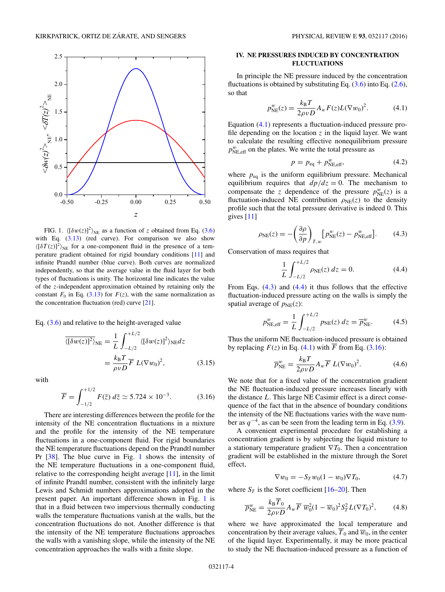<span id="page-3-0"></span>

FIG. 1.  $\langle [\delta w(z)]^2 \rangle_{NE}$  as a function of *z* obtained from Eq. [\(3.6\)](#page-2-0) with Eq.  $(3.13)$  (red curve). For comparison we also show  $\langle [\delta T(z)]^2 \rangle_{\text{NE}}$  for a one-component fluid in the presence of a temperature gradient obtained for rigid boundary conditions [\[11\]](#page-7-0) and infinite Prandtl number (blue curve). Both curves are normalized independently, so that the average value in the fluid layer for both types of fluctuations is unity. The horizontal line indicates the value of the *z*-independent approximation obtained by retaining only the constant  $F_0$  in Eq. [\(3.13\)](#page-2-0) for  $F(z)$ , with the same normalization as the concentration fluctuation (red) curve [\[21\]](#page-7-0).

Eq. [\(3.6\)](#page-2-0) and relative to the height-averaged value

$$
\overline{\langle[\delta w(z)]^2\rangle}_{\text{NE}} = \frac{1}{L} \int_{-L/2}^{+L/2} \langle[\delta w(z)]^2\rangle_{\text{NE}} dz
$$

$$
= \frac{k_{\text{B}}T}{\rho vD} \overline{F} L(\nabla w_0)^2, \qquad (3.15)
$$

with

$$
\overline{F} = \int_{-1/2}^{+1/2} F(\tilde{z}) \, d\tilde{z} \simeq 5.724 \times 10^{-3}.
$$
 (3.16)

There are interesting differences between the profile for the intensity of the NE concentration fluctuations in a mixture and the profile for the intensity of the NE temperature fluctuations in a one-component fluid. For rigid boundaries the NE temperature fluctuations depend on the Prandtl number Pr [\[38\]](#page-7-0). The blue curve in Fig. 1 shows the intensity of the NE temperature fluctuations in a one-component fluid, relative to the corresponding height average [\[11\]](#page-7-0), in the limit of infinite Prandtl number, consistent with the infinitely large Lewis and Schmidt numbers approximations adopted in the present paper. An important difference shown in Fig. 1 is that in a fluid between two impervious thermally conducting walls the temperature fluctuations vanish at the walls, but the concentration fluctuations do not. Another difference is that the intensity of the NE temperature fluctuations approaches the walls with a vanishing slope, while the intensity of the NE concentration approaches the walls with a finite slope.

### **IV. NE PRESSURES INDUCED BY CONCENTRATION FLUCTUATIONS**

In principle the NE pressure induced by the concentration fluctuations is obtained by substituting Eq.  $(3.6)$  into Eq.  $(2.6)$ , so that

$$
p_{\text{NE}}^w(z) = \frac{k_{\text{B}}T}{2\rho v D} A_w F(z) L (\nabla w_0)^2.
$$
 (4.1)

Equation (4.1) represents a fluctuation-induced pressure profile depending on the location  $z$  in the liquid layer. We want to calculate the resulting effective nonequilibrium pressure  $p_{\text{NE,eff}}^w$  on the plates. We write the total pressure as

$$
p = p_{\text{eq}} + p_{\text{NE,eff}}^w,\tag{4.2}
$$

where  $p_{eq}$  is the uniform equilibrium pressure. Mechanical equilibrium requires that  $dp/dz = 0$ . The mechanism to compensate the *z* dependence of the pressure  $p_{NE}^w(z)$  is a fluctuation-induced NE contribution  $\rho_{NE}(z)$  to the density profile such that the total pressure derivative is indeed 0. This gives [\[11\]](#page-7-0)

$$
\rho_{\rm NE}(z) = -\left(\frac{\partial \rho}{\partial p}\right)_{T,w} \left[p_{\rm NE}^w(z) - p_{\rm NE,eff}^w\right].\tag{4.3}
$$

Conservation of mass requires that

$$
\frac{1}{L} \int_{-L/2}^{+L/2} \rho_{\rm NE}(z) dz = 0.
$$
 (4.4)

From Eqs. (4.3) and (4.4) it thus follows that the effective fluctuation-induced pressure acting on the walls is simply the spatial average of  $p_{NE}(z)$ :

$$
p_{\text{NE,eff}}^w = \frac{1}{L} \int_{-L/2}^{+L/2} p_{\text{NE}}(z) \, dz = \overline{p}_{\text{NE}}^w. \tag{4.5}
$$

Thus the uniform NE fluctuation-induced pressure is obtained by replacing  $F(z)$  in Eq. (4.1) with  $\overline{F}$  from Eq. (3.16):

$$
\overline{p}_{\text{NE}}^w = \frac{k_{\text{B}}T}{2\rho v D} A_w \overline{F} L(\nabla w_0)^2.
$$
 (4.6)

We note that for a fixed value of the concentration gradient the NE fluctuation-induced pressure increases linearly with the distance *L*. This large NE Casimir effect is a direct consequence of the fact that in the absence of boundary conditions the intensity of the NE fluctuations varies with the wave number as  $q^{-4}$ , as can be seen from the leading term in Eq. [\(3.9\)](#page-2-0).

A convenient experimental procedure for establishing a concentration gradient is by subjecting the liquid mixture to a stationary temperature gradient  $\nabla T_0$ . Then a concentration gradient will be established in the mixture through the Soret effect,

$$
\nabla w_0 = -S_T w_0 (1 - w_0) \nabla T_0, \tag{4.7}
$$

where  $S_T$  is the Soret coefficient [\[16–20\]](#page-7-0). Then

$$
\overline{p}_{\text{NE}}^w = \frac{k_{\text{B}} \overline{T}_0}{2 \rho v D} A_w \overline{F} \ \overline{w}_0^2 (1 - \overline{w}_0)^2 S_T^2 L (\nabla T_0)^2, \tag{4.8}
$$

where we have approximated the local temperature and concentration by their average values,  $\overline{T}_0$  and  $\overline{w}_0$ , in the center of the liquid layer. Experimentally, it may be more practical to study the NE fluctuation-induced pressure as a function of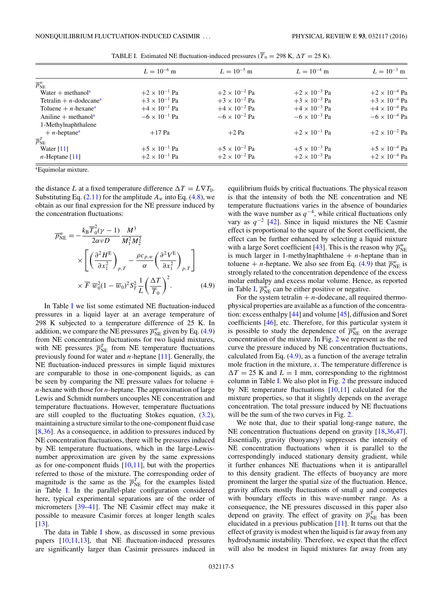<span id="page-4-0"></span>

|                                       | $L = 10^{-6}$ m        | $L = 10^{-5}$ m        | $L = 10^{-4}$ m        | $L = 10^{-3}$ m        |
|---------------------------------------|------------------------|------------------------|------------------------|------------------------|
| $\overline{p}_{\mathrm{NE}}^w$        |                        |                        |                        |                        |
| Water $+$ methanol <sup>a</sup>       | $+2 \times 10^{-1}$ Pa | $+2 \times 10^{-2}$ Pa | $+2 \times 10^{-3}$ Pa | $+2 \times 10^{-4}$ Pa |
| Tetralin + $n$ -dodecane <sup>a</sup> | $+3 \times 10^{-1}$ Pa | $+3 \times 10^{-2}$ Pa | $+3 \times 10^{-3}$ Pa | $+3 \times 10^{-4}$ Pa |
| Toluene + $n$ -hexane <sup>a</sup>    | $+4 \times 10^{-1}$ Pa | $+4 \times 10^{-2}$ Pa | $+4 \times 10^{-3}$ Pa | $+4 \times 10^{-4}$ Pa |
| Aniline + methanol <sup>a</sup>       | $-6 \times 10^{-1}$ Pa | $-6 \times 10^{-2}$ Pa | $-6 \times 10^{-3}$ Pa | $-6 \times 10^{-4}$ Pa |
| 1-Methylnaphthalene                   |                        |                        |                        |                        |
| $+ n$ -heptane <sup>a</sup>           | $+17$ Pa               | $+2$ Pa                | $+2 \times 10^{-1}$ Pa | $+2 \times 10^{-2}$ Pa |
| $\overline{p}_{\mathrm{NE}}^{T}$      |                        |                        |                        |                        |
| Water $[11]$                          | $+5 \times 10^{-1}$ Pa | $+5 \times 10^{-2}$ Pa | $+5 \times 10^{-3}$ Pa | $+5 \times 10^{-4}$ Pa |
| $n$ -Heptane [11]                     | $+2 \times 10^{-1}$ Pa | $+2 \times 10^{-2}$ Pa | $+2 \times 10^{-3}$ Pa | $+2 \times 10^{-4}$ Pa |
|                                       |                        |                        |                        |                        |

TABLE I. Estimated NE fluctuation-induced pressures ( $\overline{T}_0 = 298$  K,  $\Delta T = 25$  K).

a Equimolar mixture.

the distance *L* at a fixed temperature difference  $\Delta T = L \nabla T_0$ . Substituting Eq.  $(2.11)$  for the amplitude  $A_w$  into Eq.  $(4.8)$ , we obtain as our final expression for the NE pressure induced by the concentration fluctuations:

$$
\overline{p}_{NE}^{w} = -\frac{k_{B}\overline{T}_{0}^{2}(\gamma - 1)}{2\alpha v D} \frac{M^{3}}{M_{1}^{2} M_{2}^{2}} \times \left[ \left( \frac{\partial^{2} H^{E}}{\partial x_{1}^{2}} \right)_{p,T} - \frac{\rho c_{p,w}}{\alpha} \left( \frac{\partial^{2} V^{E}}{\partial x_{1}^{2}} \right)_{p,T} \right] \times \overline{F} \ \overline{w}_{0}^{2} (1 - \overline{w}_{0})^{2} S_{T}^{2} \frac{1}{L} \left( \frac{\Delta T}{\overline{T}_{0}} \right)^{2}. \tag{4.9}
$$

In Table I we list some estimated NE fluctuation-induced pressures in a liquid layer at an average temperature of 298 K subjected to a temperature difference of 25 K. In addition, we compare the NE pressures  $\overline{p}_{NE}^w$  given by Eq. (4.9) from NE concentration fluctuations for two liquid mixtures, with NE pressures  $\overline{p}_{NE}^T$  from NE temperature fluctuations previously found for water and *n*-heptane [\[11\]](#page-7-0). Generally, the NE fluctuation-induced pressures in simple liquid mixtures are comparable to those in one-component liquids, as can be seen by comparing the NE pressure values for toluene  $+$ *n*-hexane with those for *n*-heptane. The approximation of large Lewis and Schmidt numbers uncouples NE concentration and temperature fluctuations. However, temperature fluctuations are still coupled to the fluctuating Stokes equation, [\(3.2\)](#page-2-0), maintaining a structure similar to the one-component fluid case [\[8,36\]](#page-7-0). As a consequence, in addition to pressures induced by NE concentration fluctuations, there will be pressures induced by NE temperature fluctuations, which in the large-Lewisnumber approximation are given by the same expressions as for one-component fluids  $[10,11]$ , but with the properties referred to those of the mixture. The corresponding order of magnitude is the same as the  $\overline{p}_{NE}^T$  for the examples listed in Table I. In the parallel-plate configuration considered here, typical experimental separations are of the order of micrometers [\[39–41\]](#page-7-0). The NE Casimir effect may make it possible to measure Casimir forces at longer length scales [\[13\]](#page-7-0).

The data in Table I show, as discussed in some previous papers [\[10,11,13\]](#page-7-0), that NE fluctuation-induced pressures are significantly larger than Casimir pressures induced in

equilibrium fluids by critical fluctuations. The physical reason is that the intensity of both the NE concentration and NE temperature fluctuations varies in the absence of boundaries with the wave number as  $q^{-4}$ , while critical fluctuations only vary as  $q^{-2}$  [\[42\]](#page-7-0). Since in liquid mixtures the NE Casmir effect is proportional to the square of the Soret coefficient, the effect can be further enhanced by selecting a liquid mixture with a large Soret coefficient [\[43\]](#page-7-0). This is the reason why  $\overline{p}_{NE}^w$ is much larger in 1-methylnaphthalene  $+ n$ -heptane than in toluene + *n*-heptane. We also see from Eq. (4.9) that  $\overline{p}_{NE}^w$  is strongly related to the concentration dependence of the excess molar enthalpy and excess molar volume. Hence, as reported in Table I,  $\overline{p}_{NE}^{\overline{w}}$  can be either positive or negative.

For the system tetralin  $+ n$ -dodecane, all required thermophysical properties are available as a function of the concentration: excess enthalpy [\[44\]](#page-7-0) and volume [\[45\]](#page-7-0), diffusion and Soret coefficients [\[46\]](#page-7-0), etc. Therefore, for this particular system it is possible to study the dependence of  $\overline{p}_{NE}^w$  on the average concentration of the mixture. In Fig. [2](#page-5-0) we represent as the red curve the pressure induced by NE concentration fluctuations, calculated from Eq.  $(4.9)$ , as a function of the average tetralin mole fraction in the mixture, *x*. The temperature difference is  $\Delta T = 25$  K and  $L = 1$  mm, corresponding to the rightmost column in Table I. We also plot in Fig. [2](#page-5-0) the pressure induced by NE temperature fluctuations  $[10,11]$  calculated for the mixture properties, so that it slightly depends on the average concentration. The total pressure induced by NE fluctuations will be the sum of the two curves in Fig. [2.](#page-5-0)

We note that, due to their spatial long-range nature, the NE concentration fluctuations depend on gravity [\[18,36,47\]](#page-7-0). Essentially, gravity (buoyancy) suppresses the intensity of NE concentration fluctuations when it is parallel to the correspondingly induced stationary density gradient, while it further enhances NE fluctuations when it is antiparallel to this density gradient. The effects of buoyancy are more prominent the larger the spatial size of the fluctuation. Hence, gravity affects mostly fluctuations of small *q* and competes with boundary effects in this wave-number range. As a consequence, the NE pressures discussed in this paper also depend on gravity. The effect of gravity on  $\overline{p}_{NE}^T$  has been elucidated in a previous publication [\[11\]](#page-7-0). It turns out that the effect of gravity is modest when the liquid is far away from any hydrodynamic instability. Therefore, we expect that the effect will also be modest in liquid mixtures far away from any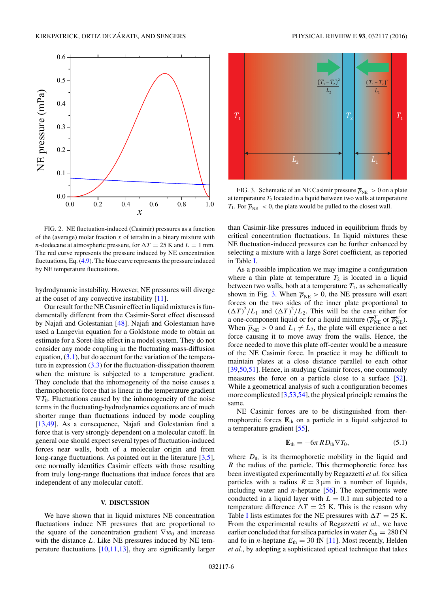<span id="page-5-0"></span>

FIG. 2. NE fluctuation-induced (Casimir) pressures as a function of the (average) molar fraction  $x$  of tetralin in a binary mixture with *n*-dodecane at atmospheric pressure, for  $\Delta T = 25$  K and  $L = 1$  mm. The red curve represents the pressure induced by NE concentration fluctuations, Eq. [\(4.9\)](#page-4-0). The blue curve represents the pressure induced by NE temperature fluctuations.

hydrodynamic instability. However, NE pressures will diverge at the onset of any convective instability [\[11\]](#page-7-0).

Our result for the NE Casmir effect in liquid mixtures is fundamentally different from the Casimir-Soret effect discussed by Najafi and Golestanian [\[48\]](#page-7-0). Najafi and Golestanian have used a Langevin equation for a Goldstone mode to obtain an estimate for a Soret-like effect in a model system. They do not consider any mode coupling in the fluctuating mass-diffusion equation,  $(3.1)$ , but do account for the variation of the temperature in expression  $(3.3)$  for the fluctuation-dissipation theorem when the mixture is subjected to a temperature gradient. They conclude that the inhomogeneity of the noise causes a thermophoretic force that is linear in the temperature gradient  $\nabla T_0$ . Fluctuations caused by the inhomogeneity of the noise terms in the fluctuating-hydrodynamics equations are of much shorter range than fluctuations induced by mode coupling [\[13,49\]](#page-7-0). As a consequence, Najafi and Golestanian find a force that is very strongly dependent on a molecular cutoff. In general one should expect several types of fluctuation-induced forces near walls, both of a molecular origin and from long-range fluctuations. As pointed out in the literature [\[3,5\]](#page-7-0), one normally identifies Casimir effects with those resulting from truly long-range fluctuations that induce forces that are independent of any molecular cutoff.

### **V. DISCUSSION**

We have shown that in liquid mixtures NE concentration fluctuations induce NE pressures that are proportional to the square of the concentration gradient  $\nabla w_0$  and increase with the distance *L*. Like NE pressures induced by NE temperature fluctuations [\[10,11,13\]](#page-7-0), they are significantly larger



FIG. 3. Schematic of an NE Casimir pressure  $\overline{p}_{NE} > 0$  on a plate at temperature  $T_2$  located in a liquid between two walls at temperature  $T_1$ . For  $\overline{p}_{NE}$  < 0, the plate would be pulled to the closest wall.

than Casimir-like pressures induced in equilibrium fluids by critical concentration fluctuations. In liquid mixtures these NE fluctuation-induced pressures can be further enhanced by selecting a mixture with a large Soret coefficient, as reported in Table [I.](#page-4-0)

As a possible implication we may imagine a configuration where a thin plate at temperature  $T_2$  is located in a liquid between two walls, both at a temperature  $T_1$ , as schematically shown in Fig. 3. When  $\overline{p}_{NE} > 0$ , the NE pressure will exert forces on the two sides of the inner plate proportional to  $(\Delta T)^2/L_1$  and  $(\Delta T)^2/L_2$ . This will be the case either for a one-component liquid or for a liquid mixture ( $\overline{p}_{NE}^T$  or  $\overline{p}_{NE}^w$ ). When  $\overline{p}_{NE} > 0$  and  $L_1 \neq L_2$ , the plate will experience a net force causing it to move away from the walls. Hence, the force needed to move this plate off-center would be a measure of the NE Casimir force. In practice it may be difficult to maintain plates at a close distance parallel to each other [\[39,50,51\]](#page-7-0). Hence, in studying Casimir forces, one commonly measures the force on a particle close to a surface [\[52\]](#page-7-0). While a geometrical analysis of such a configuration becomes more complicated [\[3,53,54\]](#page-7-0), the physical principle remains the same.

NE Casimir forces are to be distinguished from thermophoretic forces **E**th on a particle in a liquid subjected to a temperature gradient [\[55\]](#page-7-0),

$$
\mathbf{E}_{\text{th}} = -6\pi R D_{\text{th}} \nabla T_0, \tag{5.1}
$$

where  $D_{th}$  is its thermophoretic mobility in the liquid and *R* the radius of the particle. This thermophoretic force has been investigated experimentally by Regazzetti *et al.* for silica particles with a radius  $R = 3 \mu m$  in a number of liquids, including water and *n*-heptane [\[56\]](#page-7-0). The experiments were conducted in a liquid layer with  $L = 0.1$  mm subjected to a temperature difference  $\Delta T = 25$  K. This is the reason why Table [I](#page-4-0) lists estimates for the NE pressures with  $\Delta T = 25$  K. From the experimental results of Regazzetti *et al.*, we have earlier concluded that for silica particles in water  $E_{\text{th}} = 280 \text{ fN}$ and fo in *n*-heptane  $E_{\text{th}} = 30$  fN [\[11\]](#page-7-0). Most recently, Helden *et al.*, by adopting a sophisticated optical technique that takes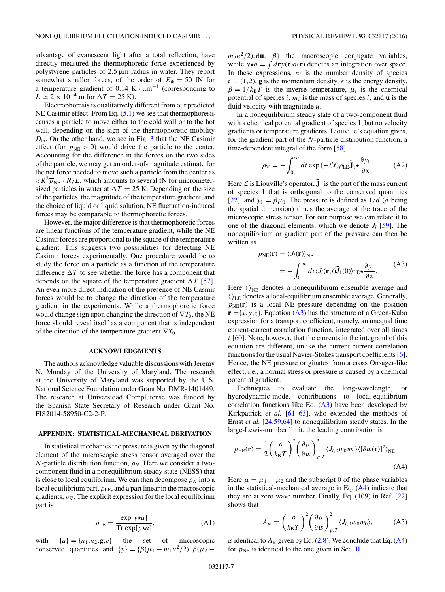advantage of evanescent light after a total reflection, have directly measured the thermophoretic force experienced by polystyrene particles of 2*.*5 μm radius in water. They report somewhat smaller forces, of the order of  $E_{\text{th}} = 50$  fN for a temperature gradient of 0.14 K ·  $\mu$ m<sup>-1</sup> (corresponding to  $L \simeq 2 \times 10^{-4}$  m for  $\Delta T = 25$  K).

Electrophoresis is qualitatively different from our predicted NE Casimir effect. From Eq.  $(5.1)$  we see that thermophoresis causes a particle to move either to the cold wall or to the hot wall, depending on the sign of the thermophoretic mobility *D*th. On the other hand, we see in Fig. [3](#page-5-0) that the NE Casimir effect (for  $\overline{p}_{NE} > 0$ ) would drive the particle to the center. Accounting for the difference in the forces on the two sides of the particle, we may get an order-of-magnitude estimate for the net force needed to move such a particle from the center as  $\pi R^2 \overline{p}_{\text{NE}} \cdot R/L$ , which amounts to several fN for micrometersized particles in water at  $\Delta T = 25$  K. Depending on the size of the particles, the magnitude of the temperature gradient, and the choice of liquid or liquid solution, NE fluctuation-induced forces may be comparable to thermophoretic forces.

However, the major difference is that thermophoretic forces are linear functions of the temperature gradient, while the NE Casimir forces are proportional to the square of the temperature gradient. This suggests two possibilities for detecting NE Casimir forces experimentally. One procedure would be to study the force on a particle as a function of the temperature difference  $\Delta T$  to see whether the force has a component that depends on the square of the temperature gradient  $\Delta T$  [\[57\]](#page-7-0). An even more direct indication of the presence of NE Casmir forces would be to change the direction of the temperature gradient in the experiments. While a thermophoretic force would change sign upon changing the direction of ∇*T*0, the NE force should reveal itself as a component that is independent of the direction of the temperature gradient ∇*T*0.

### **ACKNOWLEDGMENTS**

The authors acknowledge valuable discussions with Jeremy N. Munday of the University of Maryland. The research at the University of Maryland was supported by the U.S. National Science Foundation under Grant No. DMR-1401449. The research at Universidad Complutense was funded by the Spanish State Secretary of Research under Grant No. FIS2014-58950-C2-2-P.

### **APPENDIX: STATISTICAL-MECHANICAL DERIVATION**

In statistical mechanics the pressure is given by the diagonal element of the microscopic stress tensor averaged over the *N*-particle distribution function,  $\rho_N$ . Here we consider a twocomponent fluid in a nonequilibrium steady state (NESS) that is close to local equilibrium. We can then decompose  $\rho_N$  into a local equilibrium part, *ρ*LE, and a part linear in the macroscopic gradients,  $\rho_{\nabla}$ . The explicit expression for the local equilibrium part is

$$
\rho_{\text{LE}} = \frac{\exp[y \star a]}{\text{Tr} \exp[y \star a]},\tag{A1}
$$

with  ${a} = {n_1, n_2, \mathbf{g}, e}$  the set of microscopic conserved quantities and  $\{y\} = {\beta(\mu_1 - m_1 u^2/2), \beta(\mu_2 - \mu_1 u^2/2)}$   $m_2u^2/2$ , $\beta$ **u**,− $\beta$ } the macroscopic conjugate variables, while  $y \star a = \int d\mathbf{r} y(\mathbf{r}) a(\mathbf{r})$  denotes an integration over space. In these expressions,  $n_i$  is the number density of species  $i = (1,2)$ , **g** is the momentum density, *e* is the energy density,  $\beta = 1/k_B T$  is the inverse temperature,  $\mu_i$  is the chemical potential of species  $i$ ,  $m_i$  is the mass of species  $i$ , and  $\bf{u}$  is the fluid velocity with magnitude *u*.

In a nonequilibrium steady state of a two-component fluid with a chemical potential gradient of species 1, but no velocity gradients or temperature gradients, Liouville's equation gives, for the gradient part of the *N*-particle distribution function, a time-dependent integral of the form [\[58\]](#page-7-0)

$$
\rho_{\nabla} = -\int_0^\infty dt \exp(-\mathcal{L}t)\rho_{\text{LE}} \hat{\mathbf{J}}_1 \star \frac{\partial y_1}{\partial x}.
$$
 (A2)

Here  $\mathcal L$  is Liouville's operator,  $\mathbf{\hat J}_1$  is the part of the mass current of species 1 that is orthogonal to the conserved quantities [\[22\]](#page-7-0), and  $y_1 = \beta \mu_1$ . The pressure is defined as  $1/d$  (*d* being the spatial dimension) times the average of the trace of the microscopic stress tensor. For our purpose we can relate it to one of the diagonal elements, which we denote  $J_l$  [\[59\]](#page-8-0). The nonequilibrium or gradient part of the pressure can then be written as

$$
p_{NE}(\mathbf{r}) = \langle J_l(\mathbf{r}) \rangle_{NE}
$$
  
= 
$$
- \int_0^\infty dt \langle J_l(\mathbf{r}, t) \hat{J}_1(0) \rangle_{LE} \star \frac{\partial y_1}{\partial x}.
$$
 (A3)

Here  $\langle \rangle_{NE}$  denotes a nonequilibrium ensemble average and  $\langle \rangle_{\text{LE}}$  denotes a local-equilibrium ensemble average. Generally,  $p_{NE}(\mathbf{r})$  is a local NE pressure depending on the position  $\mathbf{r} = \{x, y, z\}$ . Equation (A3) has the structure of a Green-Kubo expression for a transport coefficient, namely, an unequal time current-current correlation function, integrated over all times *t* [\[60\]](#page-8-0). Note, however, that the currents in the integrand of this equation are different, unlike the current-current correlation functions for the usual Navier-Stokes transport coefficients [\[6\]](#page-7-0). Hence, the NE pressure originates from a cross Onsager-like effect, i.e., a normal stress or pressure is caused by a chemical potential gradient.

Techniques to evaluate the long-wavelength, or hydrodynamic-mode, contributions to local-equilibrium correlation functions like Eq.  $(A3)$  have been developed by Kirkpatrick *et al.* [\[61–63\]](#page-8-0), who extended the methods of Ernst *et al.* [\[24,](#page-7-0)[59,64\]](#page-8-0) to nonequilibrium steady states. In the large-Lewis-number limit, the leading contribution is

$$
p_{\text{NE}}(\mathbf{r}) = \frac{1}{2} \left(\frac{\rho}{k_{\text{B}}T}\right)^2 \left(\frac{\partial \mu}{\partial w}\right)_{p,T}^2 \langle J_{l,0}w_0w_0\rangle \langle [\delta w(\mathbf{r})]^2 \rangle_{\text{NE}}.
$$
\n(A4)

Here  $\mu = \mu_1 - \mu_2$  and the subscript 0 of the phase variables in the statistical-mechanical average in Eq. (A4) indicate that they are at zero wave number. Finally, Eq. (109) in Ref. [\[22\]](#page-7-0) shows that

$$
A_w = \left(\frac{\rho}{k_B T}\right)^2 \left(\frac{\partial \mu}{\partial w}\right)^2_{p,T} \langle J_{l,0} w_0 w_0 \rangle, \tag{A5}
$$

is identical to  $A_w$  given by Eq. [\(2.8\)](#page-1-0). We conclude that Eq. (A4) for  $p_{\text{NE}}$  is identical to the one given in Sec. [II.](#page-0-0)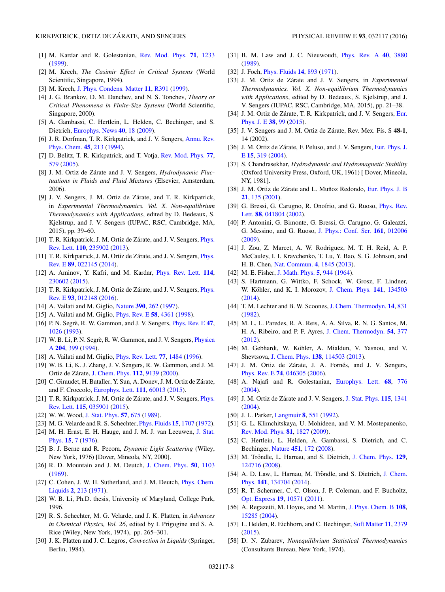- <span id="page-7-0"></span>[1] M. Kardar and R. Golestanian, [Rev. Mod. Phys.](http://dx.doi.org/10.1103/RevModPhys.71.1233) **[71](http://dx.doi.org/10.1103/RevModPhys.71.1233)**, [1233](http://dx.doi.org/10.1103/RevModPhys.71.1233) [\(1999\)](http://dx.doi.org/10.1103/RevModPhys.71.1233).
- [2] M. Krech, *The Casimir Effect in Critical Systems* (World Scientific, Singapore, 1994).
- [3] M. Krech, [J. Phys. Condens. Matter](http://dx.doi.org/10.1088/0953-8984/11/37/201) **[11](http://dx.doi.org/10.1088/0953-8984/11/37/201)**, [R391](http://dx.doi.org/10.1088/0953-8984/11/37/201) [\(1999\)](http://dx.doi.org/10.1088/0953-8984/11/37/201).
- [4] J. G. Brankov, D. M. Danchev, and N. S. Tonchev, *Theory or Critical Phenomena in Finite-Size Systems* (World Scientific, Singapore, 2000).
- [5] A. Gambassi, C. Hertlein, L. Helden, C. Bechinger, and S. Dietrich, [Europhys. News](http://dx.doi.org/10.1051/epn/2009301) **[40](http://dx.doi.org/10.1051/epn/2009301)**, [18](http://dx.doi.org/10.1051/epn/2009301) [\(2009\)](http://dx.doi.org/10.1051/epn/2009301).
- [6] [J. R. Dorfman, T. R. Kirkpatrick, and J. V. Sengers,](http://dx.doi.org/10.1146/annurev.pc.45.100194.001241) Annu. Rev. Phys. Chem. **[45](http://dx.doi.org/10.1146/annurev.pc.45.100194.001241)**, [213](http://dx.doi.org/10.1146/annurev.pc.45.100194.001241) [\(1994\)](http://dx.doi.org/10.1146/annurev.pc.45.100194.001241).
- [7] D. Belitz, T. R. Kirkpatrick, and T. Votja, [Rev. Mod. Phys.](http://dx.doi.org/10.1103/RevModPhys.77.579) **[77](http://dx.doi.org/10.1103/RevModPhys.77.579)**, [579](http://dx.doi.org/10.1103/RevModPhys.77.579) [\(2005\)](http://dx.doi.org/10.1103/RevModPhys.77.579).
- [8] J. M. Ortiz de Zárate and J. V. Sengers, *Hydrodynamic Fluctuations in Fluids and Fluid Mixtures* (Elsevier, Amsterdam, 2006).
- [9] J. V. Sengers, J. M. Ortiz de Zárate, and T. R. Kirkpatrick, in *Experimental Thermodynamics. Vol. X. Non-equilibrium Thermodynamics with Applications*, edited by D. Bedeaux, S. Kjelstrup, and J. V. Sengers (IUPAC, RSC, Cambridge, MA, 2015), pp. 39–60.
- [10] T. R. Kirkpatrick, J. M. Ortiz de Zárate, and J. V. Sengers, *Phys.* Rev. Lett. **[110](http://dx.doi.org/10.1103/PhysRevLett.110.235902)**, [235902](http://dx.doi.org/10.1103/PhysRevLett.110.235902) [\(2013\)](http://dx.doi.org/10.1103/PhysRevLett.110.235902).
- [11] T. R. Kirkpatrick, J. M. Ortiz de Zárate, and J. V. Sengers, *Phys.* Rev. E **[89](http://dx.doi.org/10.1103/PhysRevE.89.022145)**, [022145](http://dx.doi.org/10.1103/PhysRevE.89.022145) [\(2014\)](http://dx.doi.org/10.1103/PhysRevE.89.022145).
- [12] A. Aminov, Y. Kafri, and M. Kardar, [Phys. Rev. Lett.](http://dx.doi.org/10.1103/PhysRevLett.114.230602) **[114](http://dx.doi.org/10.1103/PhysRevLett.114.230602)**, [230602](http://dx.doi.org/10.1103/PhysRevLett.114.230602) [\(2015\)](http://dx.doi.org/10.1103/PhysRevLett.114.230602).
- [13] T. R. Kirkpatrick, J. M. Ortiz de Zárate, and J. V. Sengers, *Phys.* Rev. E **[93](http://dx.doi.org/10.1103/PhysRevE.93.012148)**, [012148](http://dx.doi.org/10.1103/PhysRevE.93.012148) [\(2016\)](http://dx.doi.org/10.1103/PhysRevE.93.012148).
- [14] A. Vailati and M. Giglio, [Nature](http://dx.doi.org/10.1038/36803) **[390](http://dx.doi.org/10.1038/36803)**, [262](http://dx.doi.org/10.1038/36803) [\(1997\)](http://dx.doi.org/10.1038/36803).
- [15] A. Vailati and M. Giglio, [Phys. Rev. E](http://dx.doi.org/10.1103/PhysRevE.58.4361) **[58](http://dx.doi.org/10.1103/PhysRevE.58.4361)**, [4361](http://dx.doi.org/10.1103/PhysRevE.58.4361) [\(1998\)](http://dx.doi.org/10.1103/PhysRevE.58.4361).
- [16] P. N. Segrè, R. W. Gammon, and J. V. Sengers, *[Phys. Rev. E](http://dx.doi.org/10.1103/PhysRevE.47.1026)* [47](http://dx.doi.org/10.1103/PhysRevE.47.1026), [1026](http://dx.doi.org/10.1103/PhysRevE.47.1026) [\(1993\)](http://dx.doi.org/10.1103/PhysRevE.47.1026).
- [17] W. B. Li, P. N. Segrè, R. W. Gammon, and J. V. Sengers, *Physica* A **[204](http://dx.doi.org/10.1016/0378-4371(94)90440-5)**, [399](http://dx.doi.org/10.1016/0378-4371(94)90440-5) [\(1994\)](http://dx.doi.org/10.1016/0378-4371(94)90440-5).
- [18] A. Vailati and M. Giglio, [Phys. Rev. Lett.](http://dx.doi.org/10.1103/PhysRevLett.77.1484) **[77](http://dx.doi.org/10.1103/PhysRevLett.77.1484)**, [1484](http://dx.doi.org/10.1103/PhysRevLett.77.1484) [\(1996\)](http://dx.doi.org/10.1103/PhysRevLett.77.1484).
- [19] W. B. Li, K. J. Zhang, J. V. Sengers, R. W. Gammon, and J. M. Ortiz de Zárate, [J. Chem. Phys.](http://dx.doi.org/10.1063/1.481524) [112](http://dx.doi.org/10.1063/1.481524), [9139](http://dx.doi.org/10.1063/1.481524) [\(2000\)](http://dx.doi.org/10.1063/1.481524).
- [20] C. Giraudet, H. Bataller, Y. Sun, A. Donev, J. M. Ortiz de Zárate, and F. Croccolo, [Europhys. Lett.](http://dx.doi.org/10.1209/0295-5075/111/60013) **[111](http://dx.doi.org/10.1209/0295-5075/111/60013)**, [60013](http://dx.doi.org/10.1209/0295-5075/111/60013) [\(2015\)](http://dx.doi.org/10.1209/0295-5075/111/60013).
- [21] T. R. Kirkpatrick, J. M. Ortiz de Zárate, and J. V. Sengers, *Phys.* Rev. Lett. **[115](http://dx.doi.org/10.1103/PhysRevLett.115.035901)**, [035901](http://dx.doi.org/10.1103/PhysRevLett.115.035901) [\(2015\)](http://dx.doi.org/10.1103/PhysRevLett.115.035901).
- [22] W. W. Wood, [J. Stat. Phys.](http://dx.doi.org/10.1007/BF01022828) **[57](http://dx.doi.org/10.1007/BF01022828)**, [675](http://dx.doi.org/10.1007/BF01022828) [\(1989\)](http://dx.doi.org/10.1007/BF01022828).
- [23] M. G. Velarde and R. S. Schechter, [Phys. Fluids](http://dx.doi.org/10.1063/1.1693766) **[15](http://dx.doi.org/10.1063/1.1693766)**, [1707](http://dx.doi.org/10.1063/1.1693766) [\(1972\)](http://dx.doi.org/10.1063/1.1693766).
- [24] [M. H. Ernst, E. H. Hauge, and J. M. J. van Leeuwen,](http://dx.doi.org/10.1007/BF01012807) J. Stat. Phys. **[15](http://dx.doi.org/10.1007/BF01012807)**, [7](http://dx.doi.org/10.1007/BF01012807) [\(1976\)](http://dx.doi.org/10.1007/BF01012807).
- [25] B. J. Berne and R. Pecora, *Dynamic Light Scattering* (Wiley, New York, 1976) [Dover, Mineola, NY, 2000].
- [26] R. D. Mountain and J. M. Deutch, [J. Chem. Phys.](http://dx.doi.org/10.1063/1.1671163) **[50](http://dx.doi.org/10.1063/1.1671163)**, [1103](http://dx.doi.org/10.1063/1.1671163) [\(1969\)](http://dx.doi.org/10.1063/1.1671163).
- [27] [C. Cohen, J. W. H. Sutherland, and J. M. Deutch,](http://dx.doi.org/10.1080/00319107108083815) *Phys. Chem.* Liquids **[2](http://dx.doi.org/10.1080/00319107108083815)**, [213](http://dx.doi.org/10.1080/00319107108083815) [\(1971\)](http://dx.doi.org/10.1080/00319107108083815).
- [28] W. B. Li, Ph.D. thesis, University of Maryland, College Park, 1996.
- [29] R. S. Schechter, M. G. Velarde, and J. K. Platten, in *Advances in Chemical Physics, Vol. 26*, edited by I. Prigogine and S. A. Rice (Wiley, New York, 1974), pp. 265–301.
- [30] J. K. Platten and J. C. Legros, *Convection in Liquids* (Springer, Berlin, 1984).
- [31] B. M. Law and J. C. Nieuwoudt, [Phys. Rev. A](http://dx.doi.org/10.1103/PhysRevA.40.3880) **[40](http://dx.doi.org/10.1103/PhysRevA.40.3880)**, [3880](http://dx.doi.org/10.1103/PhysRevA.40.3880) [\(1989\)](http://dx.doi.org/10.1103/PhysRevA.40.3880).
- [32] J. Foch, [Phys. Fluids](http://dx.doi.org/10.1063/1.1693545) **[14](http://dx.doi.org/10.1063/1.1693545)**, [893](http://dx.doi.org/10.1063/1.1693545) [\(1971\)](http://dx.doi.org/10.1063/1.1693545).
- [33] J. M. Ortiz de Zárate and J. V. Sengers, in *Experimental Thermodynamics. Vol. X. Non-equilibrium Thermodynamics with Applications*, edited by D. Bedeaux, S. Kjelstrup, and J. V. Sengers (IUPAC, RSC, Cambridge, MA, 2015), pp. 21–38.
- [34] J. M. Ortiz de Zárate, T. R. Kirkpatrick, and J. V. Sengers, Eur. Phys. J. E **[38](http://dx.doi.org/10.1140/epje/i2015-15099-x)**, [99](http://dx.doi.org/10.1140/epje/i2015-15099-x) [\(2015\)](http://dx.doi.org/10.1140/epje/i2015-15099-x).
- [35] J. V. Sengers and J. M. Ortiz de Zárate, Rev. Mex. Fís. S 48-1, 14 (2002).
- [36] J. M. Ortiz de Zárate, F. Peluso, and J. V. Sengers, Eur. Phys. J. E **[15](http://dx.doi.org/10.1140/epje/i2004-10074-4)**, [319](http://dx.doi.org/10.1140/epje/i2004-10074-4) [\(2004\)](http://dx.doi.org/10.1140/epje/i2004-10074-4).
- [37] S. Chandrasekhar, *Hydrodynamic and Hydromagnetic Stability* (Oxford University Press, Oxford, UK, 1961) [ Dover, Mineola, NY, 1981].
- [38] J. M. Ortiz de Zárate and L. Muñoz Redondo, [Eur. Phys. J. B](http://dx.doi.org/10.1007/s100510170223) **[21](http://dx.doi.org/10.1007/s100510170223)**, [135](http://dx.doi.org/10.1007/s100510170223) [\(2001\)](http://dx.doi.org/10.1007/s100510170223).
- [39] [G. Bressi, G. Carugno, R. Onofrio, and G. Ruoso,](http://dx.doi.org/10.1103/PhysRevLett.88.041804) Phys. Rev. Lett. **[88](http://dx.doi.org/10.1103/PhysRevLett.88.041804)**, [041804](http://dx.doi.org/10.1103/PhysRevLett.88.041804) [\(2002\)](http://dx.doi.org/10.1103/PhysRevLett.88.041804).
- [40] P. Antonini, G. Bimonte, G. Bressi, G. Carugno, G. Galeazzi, G. Messino, and G. Ruoso, [J. Phys.: Conf. Ser.](http://dx.doi.org/10.1088/1742-6596/161/1/012006) **[161](http://dx.doi.org/10.1088/1742-6596/161/1/012006)**, [012006](http://dx.doi.org/10.1088/1742-6596/161/1/012006) [\(2009\)](http://dx.doi.org/10.1088/1742-6596/161/1/012006).
- [41] J. Zou, Z. Marcet, A. W. Rodriguez, M. T. H. Reid, A. P. McCauley, I. I. Kravchenko, T. Lu, Y. Bao, S. G. Johnson, and H. B. Chen, [Nat. Commun.](http://dx.doi.org/10.1038/ncomms2842) **[4](http://dx.doi.org/10.1038/ncomms2842)**, [1845](http://dx.doi.org/10.1038/ncomms2842) [\(2013\)](http://dx.doi.org/10.1038/ncomms2842).
- [42] M. E. Fisher, [J. Math. Phys.](http://dx.doi.org/10.1063/1.1704197) **[5](http://dx.doi.org/10.1063/1.1704197)**, [944](http://dx.doi.org/10.1063/1.1704197) [\(1964\)](http://dx.doi.org/10.1063/1.1704197).
- [43] S. Hartmann, G. Wittko, F. Schock, W. Grosz, F. Lindner, W. Köhler, and K. I. Morozov, [J. Chem. Phys.](http://dx.doi.org/10.1063/1.4896776) **[141](http://dx.doi.org/10.1063/1.4896776)**, [134503](http://dx.doi.org/10.1063/1.4896776) [\(2014\)](http://dx.doi.org/10.1063/1.4896776).
- [44] T. M. Lechter and B. W. Scoones, [J. Chem. Thermodyn.](http://dx.doi.org/10.1016/0021-9614(82)90156-2) **[14](http://dx.doi.org/10.1016/0021-9614(82)90156-2)**, [831](http://dx.doi.org/10.1016/0021-9614(82)90156-2) [\(1982\)](http://dx.doi.org/10.1016/0021-9614(82)90156-2).
- [45] M. L. L. Paredes, R. A. Reis, A. A. Silva, R. N. G. Santos, M. H. A. Ribeiro, and P. F. Ayres, [J. Chem. Thermodyn.](http://dx.doi.org/10.1016/j.jct.2012.05.023) **[54](http://dx.doi.org/10.1016/j.jct.2012.05.023)**, [377](http://dx.doi.org/10.1016/j.jct.2012.05.023) [\(2012\)](http://dx.doi.org/10.1016/j.jct.2012.05.023).
- [46] M. Gebhardt, W. Köhler, A. Mialdun, V. Yasnou, and V. Shevtsova, [J. Chem. Phys.](http://dx.doi.org/10.1063/1.4795432) **[138](http://dx.doi.org/10.1063/1.4795432)**, [114503](http://dx.doi.org/10.1063/1.4795432) [\(2013\)](http://dx.doi.org/10.1063/1.4795432).
- [47] J. M. Ortiz de Zárate, J. A. Fornés, and J. V. Sengers, [Phys. Rev. E](http://dx.doi.org/10.1103/PhysRevE.74.046305) **[74](http://dx.doi.org/10.1103/PhysRevE.74.046305)**, [046305](http://dx.doi.org/10.1103/PhysRevE.74.046305) [\(2006\)](http://dx.doi.org/10.1103/PhysRevE.74.046305).
- [48] A. Najafi and R. Golestanian, [Europhys. Lett.](http://dx.doi.org/10.1209/epl/i2004-10275-5) **[68](http://dx.doi.org/10.1209/epl/i2004-10275-5)**, [776](http://dx.doi.org/10.1209/epl/i2004-10275-5) [\(2004\)](http://dx.doi.org/10.1209/epl/i2004-10275-5).
- [49] J. M. Ortiz de Zárate and J. V. Sengers, [J. Stat. Phys.](http://dx.doi.org/10.1023/B:JOSS.0000028062.57459.52) **[115](http://dx.doi.org/10.1023/B:JOSS.0000028062.57459.52)**, [1341](http://dx.doi.org/10.1023/B:JOSS.0000028062.57459.52) [\(2004\)](http://dx.doi.org/10.1023/B:JOSS.0000028062.57459.52).
- [50] J. L. Parker, [Langmuir](http://dx.doi.org/10.1021/la00038a040) **[8](http://dx.doi.org/10.1021/la00038a040)**, [551](http://dx.doi.org/10.1021/la00038a040) [\(1992\)](http://dx.doi.org/10.1021/la00038a040).
- [51] G. L. Klimchitskaya, U. Mohideen, and V. M. Mostepanenko, [Rev. Mod. Phys.](http://dx.doi.org/10.1103/RevModPhys.81.1827) **[81](http://dx.doi.org/10.1103/RevModPhys.81.1827)**, [1827](http://dx.doi.org/10.1103/RevModPhys.81.1827) [\(2009\)](http://dx.doi.org/10.1103/RevModPhys.81.1827).
- [52] C. Hertlein, L. Helden, A. Gambassi, S. Dietrich, and C. Bechinger, [Nature](http://dx.doi.org/10.1038/nature06443) **[451](http://dx.doi.org/10.1038/nature06443)**, [172](http://dx.doi.org/10.1038/nature06443) [\(2008\)](http://dx.doi.org/10.1038/nature06443).
- [53] M. Tröndle, L. Harnau, and S. Dietrich, [J. Chem. Phys.](http://dx.doi.org/10.1063/1.2977999) [129](http://dx.doi.org/10.1063/1.2977999), [124716](http://dx.doi.org/10.1063/1.2977999) [\(2008\)](http://dx.doi.org/10.1063/1.2977999).
- [54] A. D. Law, L. Harnau, M. Tröndle, and S. Dietrich, J. Chem. Phys. **[141](http://dx.doi.org/10.1063/1.4896383)**, [134704](http://dx.doi.org/10.1063/1.4896383) [\(2014\)](http://dx.doi.org/10.1063/1.4896383).
- [55] R. T. Schermer, C. C. Olson, J. P. Coleman, and F. Bucholtz, [Opt. Express](http://dx.doi.org/10.1364/OE.19.010571) **[19](http://dx.doi.org/10.1364/OE.19.010571)**, [10571](http://dx.doi.org/10.1364/OE.19.010571) [\(2011\)](http://dx.doi.org/10.1364/OE.19.010571).
- [56] A. Regazetti, M. Hoyos, and M. Martin, [J. Phys. Chem. B](http://dx.doi.org/10.1021/jp031321a) **[108](http://dx.doi.org/10.1021/jp031321a)**, [15285](http://dx.doi.org/10.1021/jp031321a) [\(2004\)](http://dx.doi.org/10.1021/jp031321a).
- [57] L. Helden, R. Eichhorn, and C. Bechinger, [Soft Matter](http://dx.doi.org/10.1039/C4SM02833C) **[11](http://dx.doi.org/10.1039/C4SM02833C)**, [2379](http://dx.doi.org/10.1039/C4SM02833C) [\(2015\)](http://dx.doi.org/10.1039/C4SM02833C).
- [58] D. N. Zubarev, *Nonequilibrium Statistical Thermodynamics* (Consultants Bureau, New York, 1974).